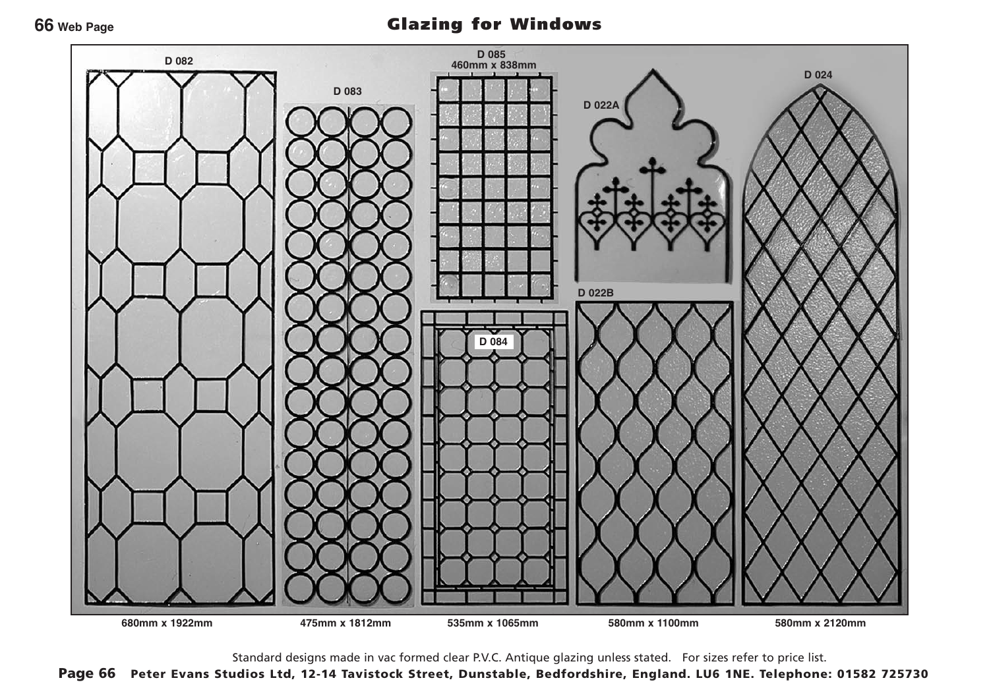#### **66 Web Page**

# Glazing for Windows



Standard designs made in vac formed clear P.V.C. Antique glazing unless stated. For sizes refer to price list.

Page 66 Peter Evans Studios Ltd, 12-14 Tavistock Street, Dunstable, Bedfordshire, England. LU6 1NE. Telephone: 01582 725730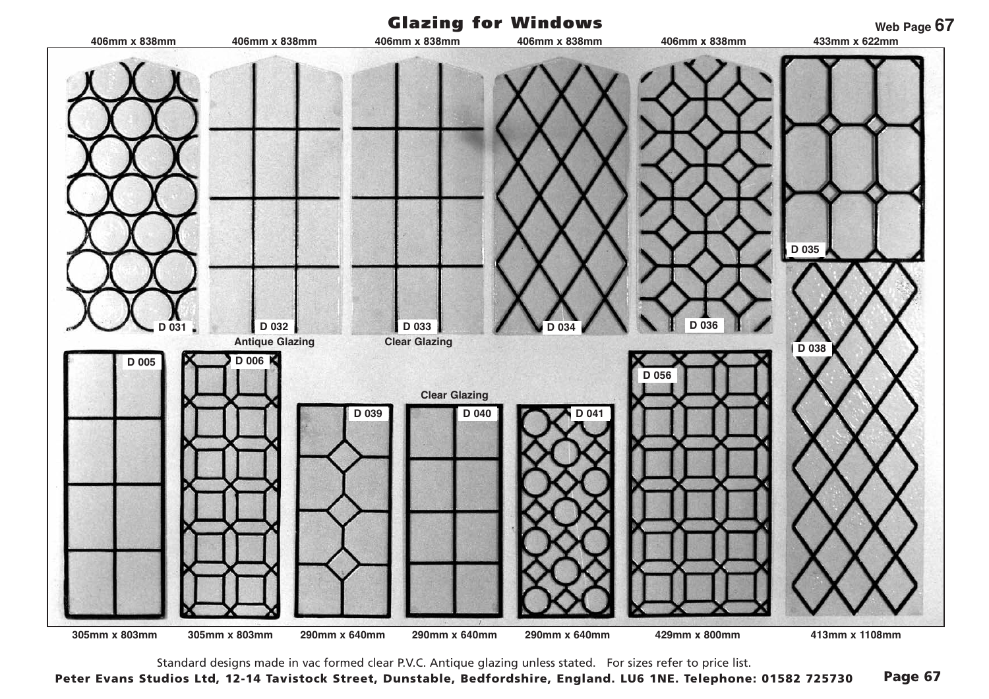

Standard designs made in vac formed clear P.V.C. Antique glazing unless stated. For sizes refer to price list.

Peter Evans Studios Ltd, 12-14 Tavistock Street, Dunstable, Bedfordshire, England. LU6 1NE. Telephone: 01582 725730 Page 67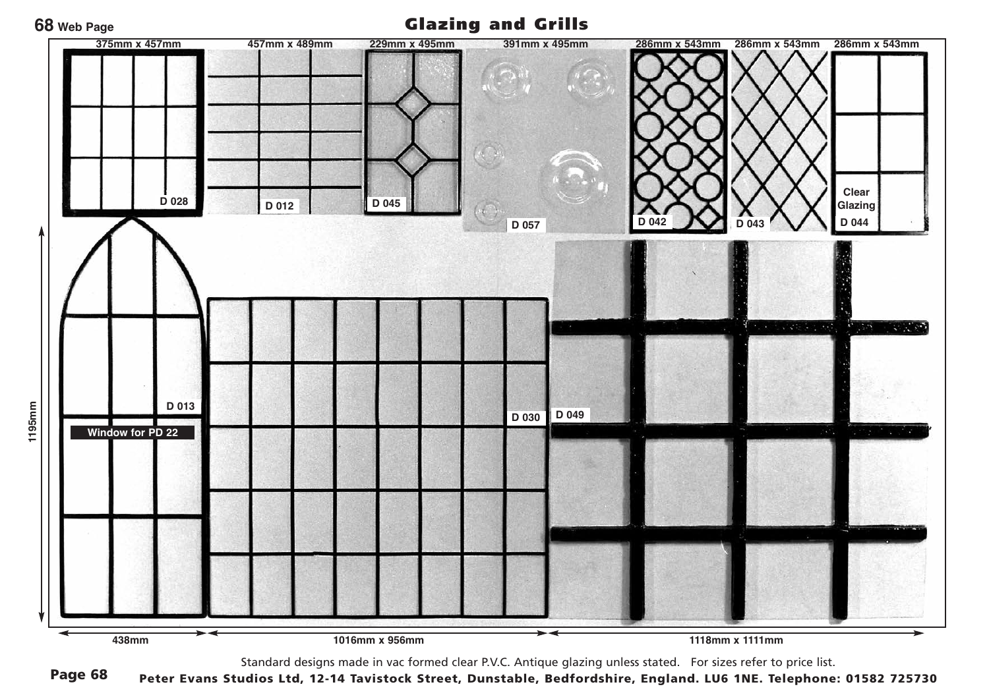### **68 Web Page**

Glazing and Grills



Standard designs made in vac formed clear P.V.C. Antique glazing unless stated. For sizes refer to price list.

Page 68 Peter Evans Studios Ltd, 12-14 Tavistock Street, Dunstable, Bedfordshire, England. LU6 1NE. Telephone: 01582 725730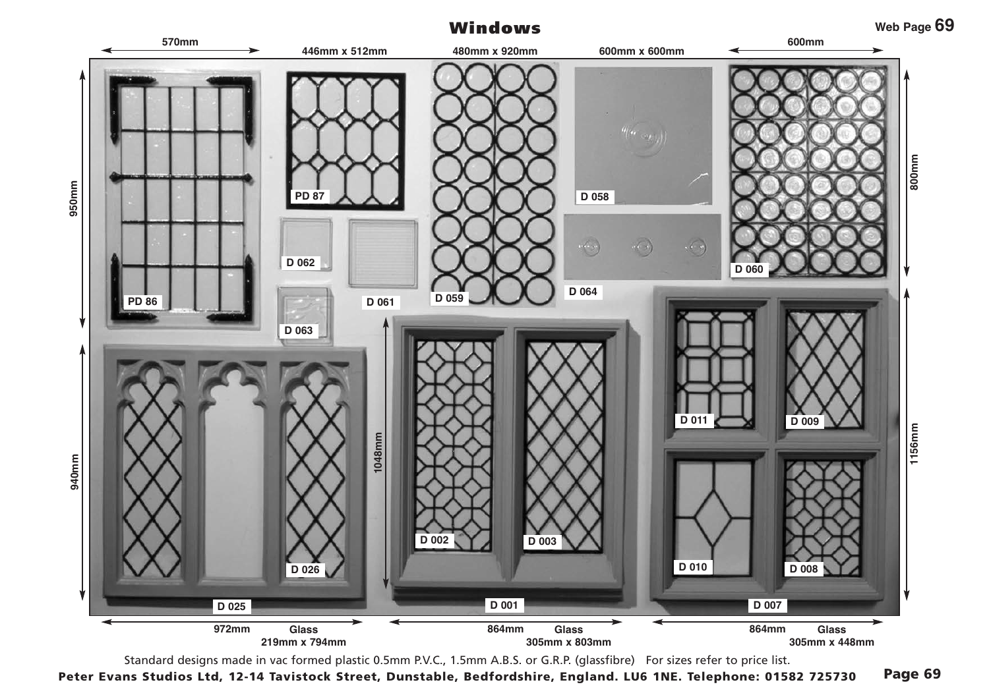# Windows



Standard designs made in vac formed plastic 0.5mm P.V.C., 1.5mm A.B.S. or G.R.P. (glassfibre) For sizes refer to price list.

Peter Evans Studios Ltd, 12-14 Tavistock Street, Dunstable, Bedfordshire, England. LU6 1NE. Telephone: 01582 725730 Page 69